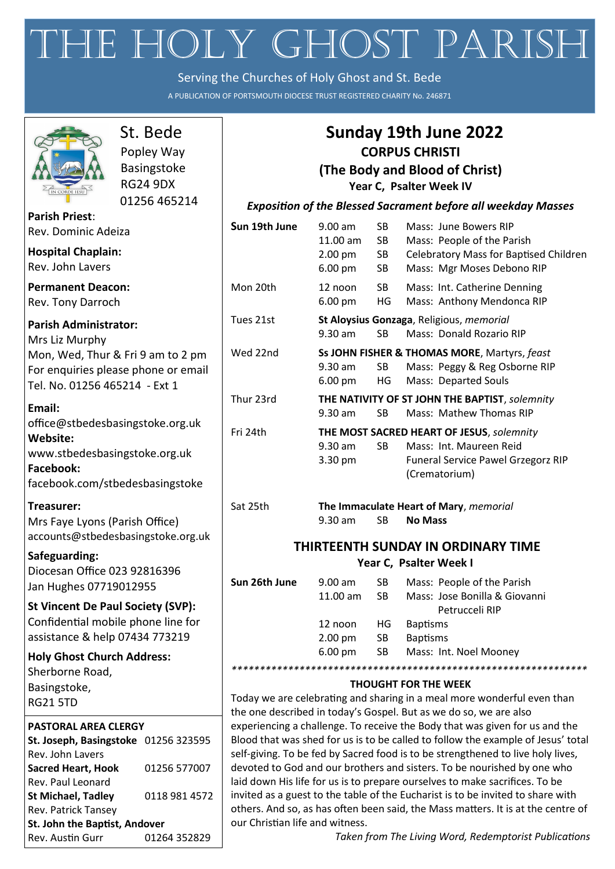# THE HOLY GHOST PARISH

Serving the Churches of Holy Ghost and St. Bede

A PUBLICATION OF PORTSMOUTH DIOCESE TRUST REGISTERED CHARITY No. 246871